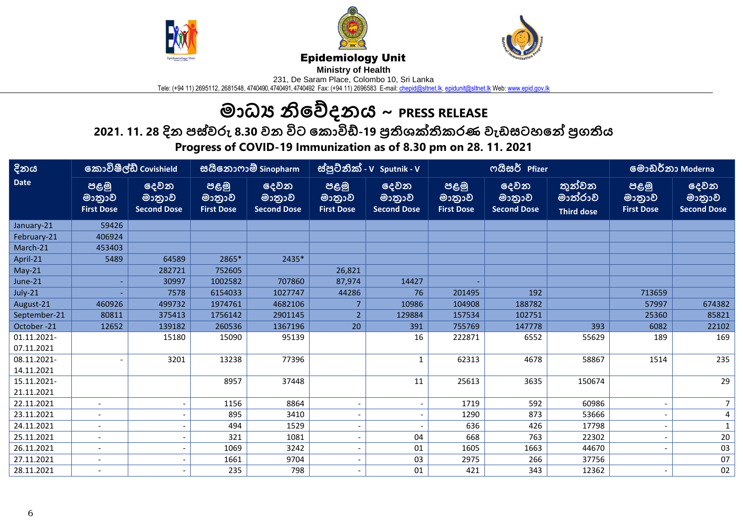





## Epidemiology Unit

**Ministry of Health** 

231, De Saram Place, Colombo 10, Sri Lanka

Tele: (+94 11) 2695112, 2681548, 4740490, 4740491, 4740492 Fax: (+94 11) 2696583 E-mail: <u>chepid@sltnet.lk, [epidunit@sltnet.lk](mailto:epidunit@sltnet.lk)</u> Web: <u>www.epid.gov.lk</u>

## **මාධ්ය නිවේදනය ~ PRESS RELEASE**

**2021. න11. 28 දිය නපස්වරු න8.30 වය නවිට නේ ාවිඩ්-19 ප්රතිශක්තිශ ණ නවඩසටටනේ නප්රගතතිශ** 

**Progress of COVID-19 Immunization as of 8.30 pm on 28. 11. 2021**

| දිනය                      | කොවිෂීල්ඩ් Covishield               |                                      | සයිනොෆාම් Sinopharm                 |                                      | ස්පුටිනික් - v Sputnik - v          |                                      | ოයිසර් Pfizer                       |                                      |                                        | <u>මොඩර්නා Moderna</u>              |                                      |
|---------------------------|-------------------------------------|--------------------------------------|-------------------------------------|--------------------------------------|-------------------------------------|--------------------------------------|-------------------------------------|--------------------------------------|----------------------------------------|-------------------------------------|--------------------------------------|
| <b>Date</b>               | පළමු<br>මාතුාව<br><b>First Dose</b> | දෙවන<br>මාතුාව<br><b>Second Dose</b> | පළමු<br>මාතුාව<br><b>First Dose</b> | දෙවන<br>මාතුාව<br><b>Second Dose</b> | පළමු<br>මානුාව<br><b>First Dose</b> | දෙවන<br>මානුාව<br><b>Second Dose</b> | පළමු<br>මාතුාව<br><b>First Dose</b> | දෙවන<br>මාතුාව<br><b>Second Dose</b> | තුන්වන<br>මාත්රාව<br><b>Third dose</b> | පළමු<br>මානුාව<br><b>First Dose</b> | දෙවන<br>මාතුාව<br><b>Second Dose</b> |
| January-21                | 59426                               |                                      |                                     |                                      |                                     |                                      |                                     |                                      |                                        |                                     |                                      |
| February-21               | 406924                              |                                      |                                     |                                      |                                     |                                      |                                     |                                      |                                        |                                     |                                      |
| March-21                  | 453403                              |                                      |                                     |                                      |                                     |                                      |                                     |                                      |                                        |                                     |                                      |
| April-21                  | 5489                                | 64589                                | 2865*                               | 2435*                                |                                     |                                      |                                     |                                      |                                        |                                     |                                      |
| $May-21$                  |                                     | 282721                               | 752605                              |                                      | 26,821                              |                                      |                                     |                                      |                                        |                                     |                                      |
| June-21                   |                                     | 30997                                | 1002582                             | 707860                               | 87,974                              | 14427                                |                                     |                                      |                                        |                                     |                                      |
| July-21                   |                                     | 7578                                 | 6154033                             | 1027747                              | 44286                               | 76                                   | 201495                              | 192                                  |                                        | 713659                              |                                      |
| August-21                 | 460926                              | 499732                               | 1974761                             | 4682106                              |                                     | 10986                                | 104908                              | 188782                               |                                        | 57997                               | 674382                               |
| September-21              | 80811                               | 375413                               | 1756142                             | 2901145                              | $\overline{2}$                      | 129884                               | 157534                              | 102751                               |                                        | 25360                               | 85821                                |
| October-21                | 12652                               | 139182                               | 260536                              | 1367196                              | 20                                  | 391                                  | 755769                              | 147778                               | 393                                    | 6082                                | 22102                                |
| 01.11.2021-<br>07.11.2021 |                                     | 15180                                | 15090                               | 95139                                |                                     | 16                                   | 222871                              | 6552                                 | 55629                                  | 189                                 | 169                                  |
| 08.11.2021-<br>14.11.2021 |                                     | 3201                                 | 13238                               | 77396                                |                                     | $\mathbf{1}$                         | 62313                               | 4678                                 | 58867                                  | 1514                                | 235                                  |
| 15.11.2021-<br>21.11.2021 |                                     |                                      | 8957                                | 37448                                |                                     | 11                                   | 25613                               | 3635                                 | 150674                                 |                                     | 29                                   |
| 22.11.2021                | $\overline{\phantom{a}}$            |                                      | 1156                                | 8864                                 |                                     | $\overline{\phantom{a}}$             | 1719                                | 592                                  | 60986                                  |                                     | $\overline{7}$                       |
| 23.11.2021                |                                     |                                      | 895                                 | 3410                                 |                                     |                                      | 1290                                | 873                                  | 53666                                  |                                     | 4                                    |
| 24.11.2021                | $\blacksquare$                      |                                      | 494                                 | 1529                                 |                                     |                                      | 636                                 | 426                                  | 17798                                  |                                     | $\mathbf{1}$                         |
| 25.11.2021                |                                     |                                      | 321                                 | 1081                                 |                                     | 04                                   | 668                                 | 763                                  | 22302                                  |                                     | $20\,$                               |
| 26.11.2021                | $\overline{\phantom{a}}$            |                                      | 1069                                | 3242                                 |                                     | 01                                   | 1605                                | 1663                                 | 44670                                  |                                     | 03                                   |
| 27.11.2021                |                                     |                                      | 1661                                | 9704                                 |                                     | 03                                   | 2975                                | 266                                  | 37756                                  |                                     | 07                                   |
| 28.11.2021                |                                     |                                      | 235                                 | 798                                  |                                     | 01                                   | 421                                 | 343                                  | 12362                                  |                                     | 02                                   |